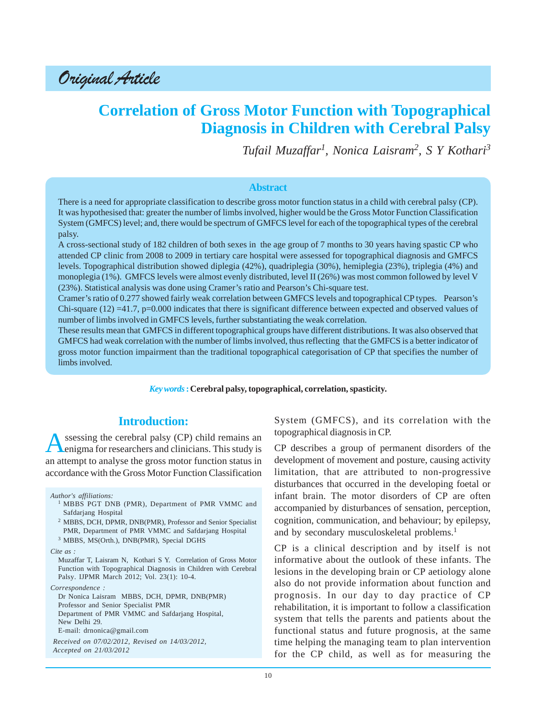Original Article

# **Correlation of Gross Motor Function with Topographical Diagnosis in Children with Cerebral Palsy**

*Tufail Muzaffar1 , Nonica Laisram<sup>2</sup> , S Y Kothari3*

#### **Abstract**

There is a need for appropriate classification to describe gross motor function status in a child with cerebral palsy (CP). It was hypothesised that: greater the number of limbs involved, higher would be the Gross Motor Function Classification System (GMFCS) level; and, there would be spectrum of GMFCS level for each of the topographical types of the cerebral palsy.

A cross-sectional study of 182 children of both sexes in the age group of 7 months to 30 years having spastic CP who attended CP clinic from 2008 to 2009 in tertiary care hospital were assessed for topographical diagnosis and GMFCS levels. Topographical distribution showed diplegia (42%), quadriplegia (30%), hemiplegia (23%), triplegia (4%) and monoplegia (1%). GMFCS levels were almost evenly distributed, level II (26%) was most common followed by level V (23%). Statistical analysis was done using Cramer's ratio and Pearson's Chi-square test.

Cramer's ratio of 0.277 showed fairly weak correlation between GMFCS levels and topographical CP types. Pearson's Chi-square  $(12) = 41.7$ , p=0.000 indicates that there is significant difference between expected and observed values of number of limbs involved in GMFCS levels, further substantiating the weak correlation.

These results mean that GMFCS in different topographical groups have different distributions. It was also observed that GMFCS had weak correlation with the number of limbs involved, thus reflecting that the GMFCS is a better indicator of gross motor function impairment than the traditional topographical categorisation of CP that specifies the number of limbs involved.

*Key words* **: Cerebral palsy, topographical, correlation, spasticity.**

## **Introduction:**

ssessing the cerebral palsy (CP) child remains an enigma for researchers and clinicians. This study is an attempt to analyse the gross motor function status in accordance with the Gross Motor Function Classification

*Author's affiliations:*

- <sup>1</sup> MBBS PGT DNB (PMR), Department of PMR VMMC and Safdarjang Hospital
- <sup>2</sup> MBBS, DCH, DPMR, DNB(PMR), Professor and Senior Specialist PMR, Department of PMR VMMC and Safdarjang Hospital
- <sup>3</sup> MBBS, MS(Orth.), DNB(PMR), Special DGHS

*Cite as :*

Muzaffar T, Laisram N, Kothari S Y. Correlation of Gross Motor Function with Topographical Diagnosis in Children with Cerebral Palsy. IJPMR March 2012; Vol. 23(1): 10-4.

*Correspondence :*

Dr Nonica Laisram MBBS, DCH, DPMR, DNB(PMR) Professor and Senior Specialist PMR Department of PMR VMMC and Safdarjang Hospital, New Delhi 29. E-mail: drnonica@gmail.com

*Received on 07/02/2012, Revised on 14/03/2012, Accepted on 21/03/2012*

System (GMFCS), and its correlation with the topographical diagnosis in CP.

CP describes a group of permanent disorders of the development of movement and posture, causing activity limitation, that are attributed to non-progressive disturbances that occurred in the developing foetal or infant brain. The motor disorders of CP are often accompanied by disturbances of sensation, perception, cognition, communication, and behaviour; by epilepsy, and by secondary musculoskeletal problems.<sup>1</sup>

CP is a clinical description and by itself is not informative about the outlook of these infants. The lesions in the developing brain or CP aetiology alone also do not provide information about function and prognosis. In our day to day practice of CP rehabilitation, it is important to follow a classification system that tells the parents and patients about the functional status and future prognosis, at the same time helping the managing team to plan intervention for the CP child, as well as for measuring the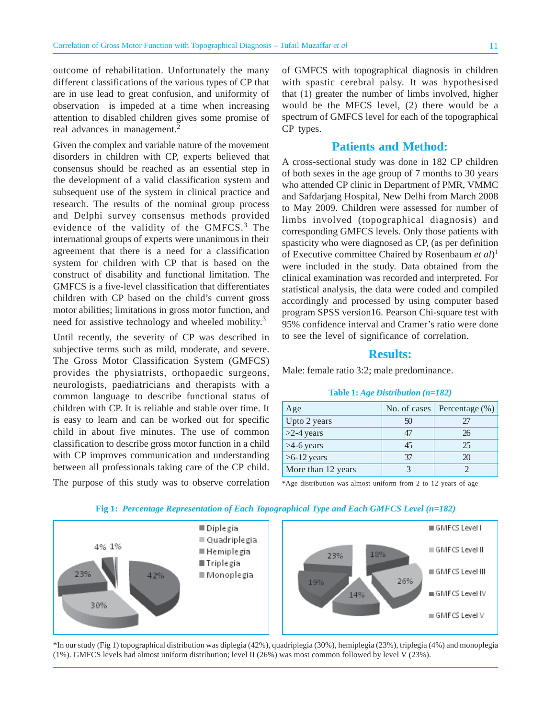outcome of rehabilitation. Unfortunately the many different classifications of the various types of CP that are in use lead to great confusion, and uniformity of observation is impeded at a time when increasing attention to disabled children gives some promise of real advances in management.<sup>2</sup>

Given the complex and variable nature of the movement disorders in children with CP, experts believed that consensus should be reached as an essential step in the development of a valid classification system and subsequent use of the system in clinical practice and research. The results of the nominal group process and Delphi survey consensus methods provided evidence of the validity of the GMFCS.<sup>3</sup> The international groups of experts were unanimous in their agreement that there is a need for a classification system for children with CP that is based on the construct of disability and functional limitation. The GMFCS is a five-level classification that differentiates children with CP based on the child's current gross motor abilities; limitations in gross motor function, and need for assistive technology and wheeled mobility.<sup>3</sup>

Until recently, the severity of CP was described in subjective terms such as mild, moderate, and severe. The Gross Motor Classification System (GMFCS) provides the physiatrists, orthopaedic surgeons, neurologists, paediatricians and therapists with a common language to describe functional status of children with CP. It is reliable and stable over time. It is easy to learn and can be worked out for specific child in about five minutes. The use of common classification to describe gross motor function in a child with CP improves communication and understanding between all professionals taking care of the CP child.

of GMFCS with topographical diagnosis in children with spastic cerebral palsy. It was hypothesised that (1) greater the number of limbs involved, higher would be the MFCS level, (2) there would be a spectrum of GMFCS level for each of the topographical CP types.

#### **Patients and Method:**

A cross-sectional study was done in 182 CP children of both sexes in the age group of 7 months to 30 years who attended CP clinic in Department of PMR, VMMC and Safdarjang Hospital, New Delhi from March 2008 to May 2009. Children were assessed for number of limbs involved (topographical diagnosis) and corresponding GMFCS levels. Only those patients with spasticity who were diagnosed as CP, (as per definition of Executive committee Chaired by Rosenbaum *et al*) 1 were included in the study. Data obtained from the clinical examination was recorded and interpreted. For statistical analysis, the data were coded and compiled accordingly and processed by using computer based program SPSS version16. Pearson Chi-square test with 95% confidence interval and Cramer's ratio were done to see the level of significance of correlation.

### **Results:**

Male: female ratio 3:2; male predominance.

#### **Table 1:** *Age Distribution (n=182)*

| Age                | No. of cases | Percentage $(\%)$ |
|--------------------|--------------|-------------------|
| Upto 2 years       | 50           | 27                |
| $>2-4$ years       | 47           | 26                |
| $>4-6$ years       | 45           | 25                |
| $>6-12$ years      | 37           | $\mathfrak{D}$    |
| More than 12 years |              |                   |

\*Age distribution was almost uniform from 2 to 12 years of age

The purpose of this study was to observe correlation





**Fig 1:** *Percentage Representation of Each Topographical Type and Each GMFCS Level (n=182)*

\*In our study (Fig 1) topographical distribution was diplegia (42%), quadriplegia (30%), hemiplegia (23%), triplegia (4%) and monoplegia (1%). GMFCS levels had almost uniform distribution; level II (26%) was most common followed by level V (23%).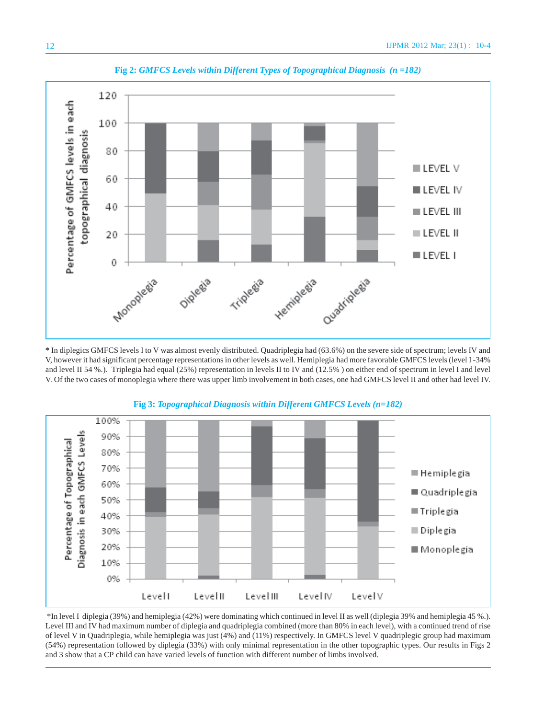

**Fig 2:** *GMFCS Levels within Different Types of Topographical Diagnosis (n =182)*

**\*** In diplegics GMFCS levels I to V was almost evenly distributed. Quadriplegia had (63.6%) on the severe side of spectrum; levels IV and V, however it had significant percentage representations in other levels as well. Hemiplegia had more favorable GMFCS levels (level I -34% and level II 54 %.). Triplegia had equal (25%) representation in levels II to IV and (12.5% ) on either end of spectrum in level I and level V. Of the two cases of monoplegia where there was upper limb involvement in both cases, one had GMFCS level II and other had level IV.





 \*In level I diplegia (39%) and hemiplegia (42%) were dominating which continued in level II as well (diplegia 39% and hemiplegia 45 %.). Level III and IV had maximum number of diplegia and quadriplegia combined (more than 80% in each level), with a continued trend of rise of level V in Quadriplegia, while hemiplegia was just (4%) and (11%) respectively. In GMFCS level V quadriplegic group had maximum (54%) representation followed by diplegia (33%) with only minimal representation in the other topographic types. Our results in Figs 2 and 3 show that a CP child can have varied levels of function with different number of limbs involved.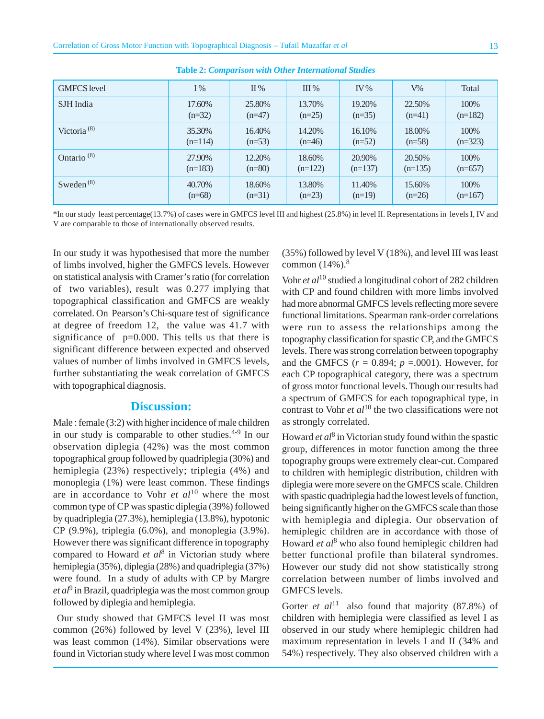| <b>GMFCS</b> level     | $I\%$     | $\Pi\%$  | III%      | $\mathbf{IV}$ % | $V\%$     | Total     |
|------------------------|-----------|----------|-----------|-----------------|-----------|-----------|
| SJH India              | 17.60%    | 25.80%   | 13.70%    | 19.20%          | 22.50%    | 100%      |
|                        | $(n=32)$  | $(n=47)$ | $(n=25)$  | $(n=35)$        | $(n=41)$  | $(n=182)$ |
| Victoria $(8)$         | 35.30%    | 16.40%   | 14.20%    | 16.10%          | 18.00%    | 100%      |
|                        | $(n=114)$ | $(n=53)$ | $(n=46)$  | $(n=52)$        | $(n=58)$  | $(n=323)$ |
| Ontario <sup>(8)</sup> | 27.90%    | 12.20%   | 18.60%    | 20.90%          | 20.50%    | 100%      |
|                        | $(n=183)$ | $(n=80)$ | $(n=122)$ | $(n=137)$       | $(n=135)$ | $(n=657)$ |
| Sweden $^{(8)}$        | 40.70%    | 18.60%   | 13.80%    | 11.40%          | 15.60%    | 100%      |
|                        | $(n=68)$  | $(n=31)$ | $(n=23)$  | $(n=19)$        | $(n=26)$  | $(n=167)$ |

**Table 2:** *Comparison with Other International Studies*

\*In our study least percentage(13.7%) of cases were in GMFCS level III and highest (25.8%) in level II. Representations in levels I, IV and V are comparable to those of internationally observed results.

In our study it was hypothesised that more the number of limbs involved, higher the GMFCS levels. However on statistical analysis with Cramer's ratio (for correlation of two variables), result was 0.277 implying that topographical classification and GMFCS are weakly correlated. On Pearson's Chi-square test of significance at degree of freedom 12, the value was 41.7 with significance of  $p=0.000$ . This tells us that there is significant difference between expected and observed values of number of limbs involved in GMFCS levels, further substantiating the weak correlation of GMFCS with topographical diagnosis.

## **Discussion:**

Male : female (3:2) with higher incidence of male children in our study is comparable to other studies. $4-9$  In our observation diplegia (42%) was the most common topographical group followed by quadriplegia (30%) and hemiplegia (23%) respectively; triplegia (4%) and monoplegia (1%) were least common. These findings are in accordance to Vohr *et al*10 where the most common type of CP was spastic diplegia (39%) followed by quadriplegia (27.3%), hemiplegia (13.8%), hypotonic CP (9.9%), triplegia (6.0%), and monoplegia (3.9%). However there was significant difference in topography compared to Howard *et al*<sup>8</sup> in Victorian study where hemiplegia (35%), diplegia (28%) and quadriplegia (37%) were found. In a study of adults with CP by Margre et al<sup>9</sup> in Brazil, quadriplegia was the most common group followed by diplegia and hemiplegia.

 Our study showed that GMFCS level II was most common (26%) followed by level V (23%), level III was least common (14%). Similar observations were found in Victorian study where level I was most common

(35%) followed by level V (18%), and level III was least common  $(14%)$ .<sup>8</sup>

Vohr *et al*10 studied a longitudinal cohort of 282 children with CP and found children with more limbs involved had more abnormal GMFCS levels reflecting more severe functional limitations. Spearman rank-order correlations were run to assess the relationships among the topography classification for spastic CP, and the GMFCS levels. There was strong correlation between topography and the GMFCS  $(r = 0.894; p = .0001)$ . However, for each CP topographical category, there was a spectrum of gross motor functional levels.Though our results had a spectrum of GMFCS for each topographical type, in contrast to Vohr *et al*<sup>10</sup> the two classifications were not as strongly correlated.

Howard *et al*<sup>8</sup> in Victorian study found within the spastic group, differences in motor function among the three topography groups were extremely clear-cut. Compared to children with hemiplegic distribution, children with diplegia were more severe on the GMFCS scale. Children with spastic quadriplegia had the lowest levels of function, being significantly higher on the GMFCS scale than those with hemiplegia and diplegia. Our observation of hemiplegic children are in accordance with those of Howard et al<sup>8</sup> who also found hemiplegic children had better functional profile than bilateral syndromes. However our study did not show statistically strong correlation between number of limbs involved and GMFCS levels.

Gorter *et al*<sup>11</sup> also found that majority (87.8%) of children with hemiplegia were classified as level I as observed in our study where hemiplegic children had maximum representation in levels I and II (34% and 54%) respectively. They also observed children with a